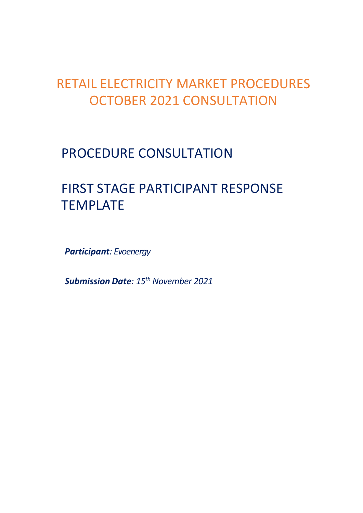## RETAIL ELECTRICITY MARKET PROCEDURES OCTOBER 2021 CONSULTATION

## PROCEDURE CONSULTATION

# FIRST STAGE PARTICIPANT RESPONSE TEMPLATE

*Participant: Evoenergy*

*Submission Date: 15th November 2021*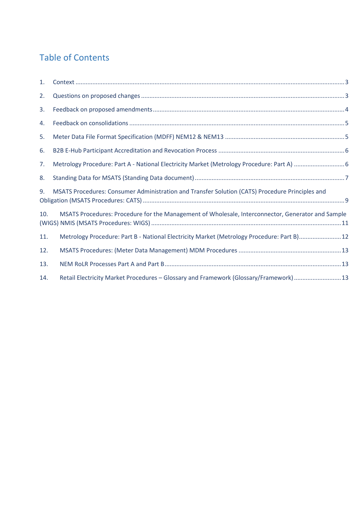#### Table of Contents

| 1.  |                                                                                                   |  |
|-----|---------------------------------------------------------------------------------------------------|--|
| 2.  |                                                                                                   |  |
| 3.  |                                                                                                   |  |
| 4.  |                                                                                                   |  |
| 5.  |                                                                                                   |  |
| 6.  |                                                                                                   |  |
| 7.  |                                                                                                   |  |
| 8.  |                                                                                                   |  |
| 9.  | MSATS Procedures: Consumer Administration and Transfer Solution (CATS) Procedure Principles and   |  |
| 10. | MSATS Procedures: Procedure for the Management of Wholesale, Interconnector, Generator and Sample |  |
| 11. | Metrology Procedure: Part B - National Electricity Market (Metrology Procedure: Part B)12         |  |
| 12. |                                                                                                   |  |
| 13. |                                                                                                   |  |
| 14. | Retail Electricity Market Procedures - Glossary and Framework (Glossary/Framework)13              |  |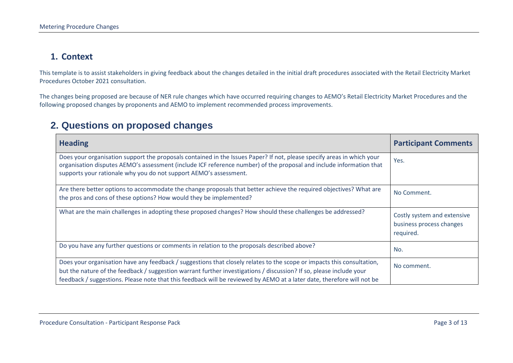#### **1. Context**

This template is to assist stakeholders in giving feedback about the changes detailed in the initial draft procedures associated with the Retail Electricity Market Procedures October 2021 consultation.

The changes being proposed are because of NER rule changes which have occurred requiring changes to AEMO's Retail Electricity Market Procedures and the following proposed changes by proponents and AEMO to implement recommended process improvements.

#### **2. Questions on proposed changes**

<span id="page-2-1"></span><span id="page-2-0"></span>

| <b>Heading</b>                                                                                                                                                                                                                                                                                                                                                          | <b>Participant Comments</b>                                          |
|-------------------------------------------------------------------------------------------------------------------------------------------------------------------------------------------------------------------------------------------------------------------------------------------------------------------------------------------------------------------------|----------------------------------------------------------------------|
| Does your organisation support the proposals contained in the Issues Paper? If not, please specify areas in which your<br>organisation disputes AEMO's assessment (include ICF reference number) of the proposal and include information that<br>supports your rationale why you do not support AEMO's assessment.                                                      | Yes.                                                                 |
| Are there better options to accommodate the change proposals that better achieve the required objectives? What are<br>the pros and cons of these options? How would they be implemented?                                                                                                                                                                                | No Comment.                                                          |
| What are the main challenges in adopting these proposed changes? How should these challenges be addressed?                                                                                                                                                                                                                                                              | Costly system and extensive<br>business process changes<br>required. |
| Do you have any further questions or comments in relation to the proposals described above?                                                                                                                                                                                                                                                                             | No.                                                                  |
| Does your organisation have any feedback / suggestions that closely relates to the scope or impacts this consultation,<br>but the nature of the feedback / suggestion warrant further investigations / discussion? If so, please include your<br>feedback / suggestions. Please note that this feedback will be reviewed by AEMO at a later date, therefore will not be | No comment.                                                          |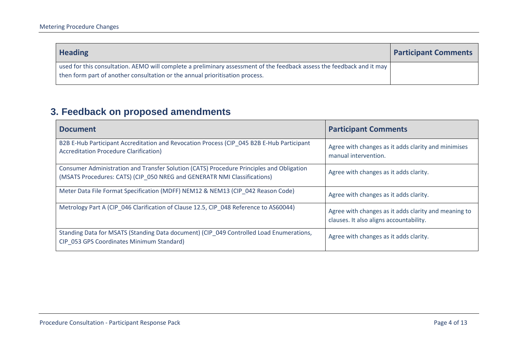| <b>Heading</b>                                                                                                                                                                                         | <b>Participant Comments</b> |
|--------------------------------------------------------------------------------------------------------------------------------------------------------------------------------------------------------|-----------------------------|
| used for this consultation. AEMO will complete a preliminary assessment of the feedback assess the feedback and it may<br>then form part of another consultation or the annual prioritisation process. |                             |

## **3. Feedback on proposed amendments**

<span id="page-3-0"></span>

| <b>Document</b>                                                                                                                                                      | <b>Participant Comments</b>                                                                     |
|----------------------------------------------------------------------------------------------------------------------------------------------------------------------|-------------------------------------------------------------------------------------------------|
| B2B E-Hub Participant Accreditation and Revocation Process (CIP_045 B2B E-Hub Participant<br><b>Accreditation Procedure Clarification)</b>                           | Agree with changes as it adds clarity and minimises<br>manual intervention.                     |
| Consumer Administration and Transfer Solution (CATS) Procedure Principles and Obligation<br>(MSATS Procedures: CATS) (CIP_050 NREG and GENERATR NMI Classifications) | Agree with changes as it adds clarity.                                                          |
| Meter Data File Format Specification (MDFF) NEM12 & NEM13 (CIP 042 Reason Code)                                                                                      | Agree with changes as it adds clarity.                                                          |
| Metrology Part A (CIP 046 Clarification of Clause 12.5, CIP 048 Reference to AS60044)                                                                                | Agree with changes as it adds clarity and meaning to<br>clauses. It also aligns accountability. |
| Standing Data for MSATS (Standing Data document) (CIP_049 Controlled Load Enumerations,<br>CIP_053 GPS Coordinates Minimum Standard)                                 | Agree with changes as it adds clarity.                                                          |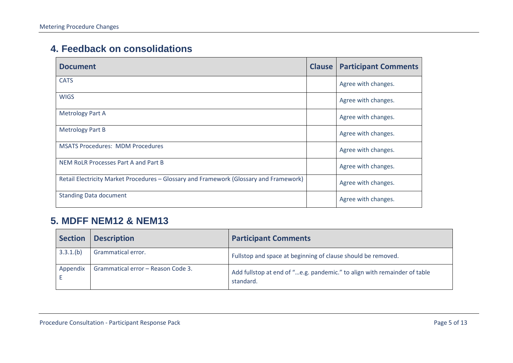#### **4. Feedback on consolidations**

| <b>Document</b>                                                                        | <b>Clause</b> | <b>Participant Comments</b> |
|----------------------------------------------------------------------------------------|---------------|-----------------------------|
| <b>CATS</b>                                                                            |               | Agree with changes.         |
| <b>WIGS</b>                                                                            |               | Agree with changes.         |
| <b>Metrology Part A</b>                                                                |               | Agree with changes.         |
| <b>Metrology Part B</b>                                                                |               | Agree with changes.         |
| <b>MSATS Procedures: MDM Procedures</b>                                                |               | Agree with changes.         |
| NEM RoLR Processes Part A and Part B                                                   |               | Agree with changes.         |
| Retail Electricity Market Procedures - Glossary and Framework (Glossary and Framework) |               | Agree with changes.         |
| <b>Standing Data document</b>                                                          |               | Agree with changes.         |

#### <span id="page-4-0"></span>**5. MDFF NEM12 & NEM13**

<span id="page-4-1"></span>

| <b>Section</b> | <b>Description</b>                 | <b>Participant Comments</b>                                                           |
|----------------|------------------------------------|---------------------------------------------------------------------------------------|
| 3.3.1(b)       | Grammatical error.                 | Fullstop and space at beginning of clause should be removed.                          |
| Appendix       | Grammatical error - Reason Code 3. | Add fullstop at end of "e.g. pandemic." to align with remainder of table<br>standard. |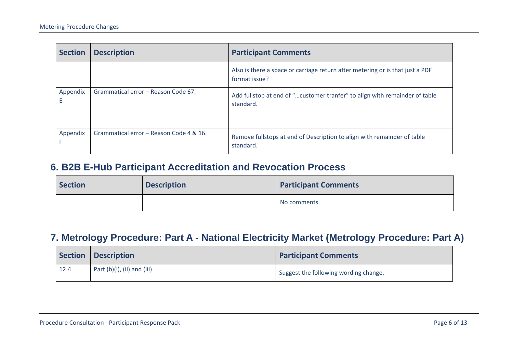| <b>Section</b> | <b>Description</b>                      | <b>Participant Comments</b>                                                                    |
|----------------|-----------------------------------------|------------------------------------------------------------------------------------------------|
|                |                                         | Also is there a space or carriage return after metering or is that just a PDF<br>format issue? |
| Appendix<br>Ε  | Grammatical error - Reason Code 67.     | Add fullstop at end of "customer tranfer" to align with remainder of table<br>standard.        |
| Appendix       | Grammatical error - Reason Code 4 & 16. | Remove fullstops at end of Description to align with remainder of table<br>standard.           |

#### **6. B2B E-Hub Participant Accreditation and Revocation Process**

| Section | <b>Description</b> | <b>Participant Comments</b> |
|---------|--------------------|-----------------------------|
|         |                    | No comments.                |

### **7. Metrology Procedure: Part A - National Electricity Market (Metrology Procedure: Part A)**

<span id="page-5-1"></span><span id="page-5-0"></span>

|      | Section   Description       | <b>Participant Comments</b>           |
|------|-----------------------------|---------------------------------------|
| 12.4 | Part (b)(i), (ii) and (iii) | Suggest the following wording change. |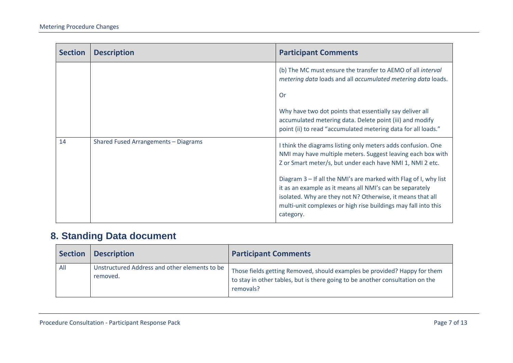| <b>Section</b> | <b>Description</b>                   | <b>Participant Comments</b>                                                                                                                                                                                                                                               |
|----------------|--------------------------------------|---------------------------------------------------------------------------------------------------------------------------------------------------------------------------------------------------------------------------------------------------------------------------|
|                |                                      | (b) The MC must ensure the transfer to AEMO of all interval<br>metering data loads and all accumulated metering data loads.                                                                                                                                               |
|                |                                      | <b>Or</b>                                                                                                                                                                                                                                                                 |
|                |                                      | Why have two dot points that essentially say deliver all<br>accumulated metering data. Delete point (iii) and modify<br>point (ii) to read "accumulated metering data for all loads."                                                                                     |
| 14             | Shared Fused Arrangements - Diagrams | I think the diagrams listing only meters adds confusion. One<br>NMI may have multiple meters. Suggest leaving each box with<br>Z or Smart meter/s, but under each have NMI 1, NMI 2 etc.                                                                                  |
|                |                                      | Diagram 3 – If all the NMI's are marked with Flag of I, why list<br>it as an example as it means all NMI's can be separately<br>isolated. Why are they not N? Otherwise, it means that all<br>multi-unit complexes or high rise buildings may fall into this<br>category. |

## **8. Standing Data document**

<span id="page-6-0"></span>

| <b>Section</b> | <b>Description</b>                                        | <b>Participant Comments</b>                                                                                                                                             |
|----------------|-----------------------------------------------------------|-------------------------------------------------------------------------------------------------------------------------------------------------------------------------|
| All            | Unstructured Address and other elements to be<br>removed. | Those fields getting Removed, should examples be provided? Happy for them<br>to stay in other tables, but is there going to be another consultation on the<br>removals? |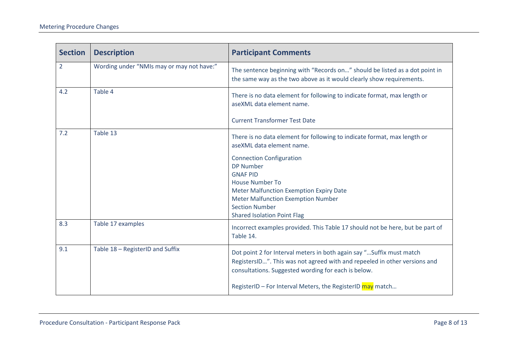| <b>Section</b> | <b>Description</b>                        | <b>Participant Comments</b>                                                                                                                                                                                                                                             |
|----------------|-------------------------------------------|-------------------------------------------------------------------------------------------------------------------------------------------------------------------------------------------------------------------------------------------------------------------------|
| $\overline{2}$ | Wording under "NMIs may or may not have:" | The sentence beginning with "Records on" should be listed as a dot point in<br>the same way as the two above as it would clearly show requirements.                                                                                                                     |
| 4.2            | Table 4                                   | There is no data element for following to indicate format, max length or<br>aseXML data element name.                                                                                                                                                                   |
|                |                                           | <b>Current Transformer Test Date</b>                                                                                                                                                                                                                                    |
| 7.2            | Table 13                                  | There is no data element for following to indicate format, max length or<br>aseXML data element name.                                                                                                                                                                   |
|                |                                           | <b>Connection Configuration</b><br><b>DP Number</b><br><b>GNAF PID</b><br><b>House Number To</b><br>Meter Malfunction Exemption Expiry Date<br><b>Meter Malfunction Exemption Number</b><br><b>Section Number</b><br><b>Shared Isolation Point Flag</b>                 |
| 8.3            | Table 17 examples                         | Incorrect examples provided. This Table 17 should not be here, but be part of<br>Table 14.                                                                                                                                                                              |
| 9.1            | Table 18 - RegisterID and Suffix          | Dot point 2 for Interval meters in both again say " Suffix must match<br>RegistersID". This was not agreed with and repeeled in other versions and<br>consultations. Suggested wording for each is below.<br>RegisterID - For Interval Meters, the RegisterID may match |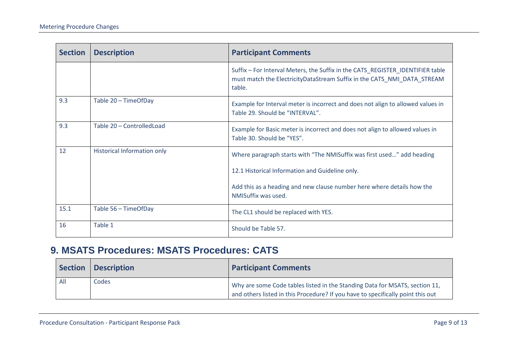| <b>Section</b> | <b>Description</b>                 | <b>Participant Comments</b>                                                                                                                                         |
|----------------|------------------------------------|---------------------------------------------------------------------------------------------------------------------------------------------------------------------|
|                |                                    | Suffix - For Interval Meters, the Suffix in the CATS_REGISTER_IDENTIFIER table<br>must match the ElectricityDataStream Suffix in the CATS_NMI_DATA_STREAM<br>table. |
| 9.3            | Table 20 - TimeOfDay               | Example for Interval meter is incorrect and does not align to allowed values in<br>Table 29. Should be "INTERVAL".                                                  |
| 9.3            | Table 20 - Controlled Load         | Example for Basic meter is incorrect and does not align to allowed values in<br>Table 30. Should be "YES".                                                          |
| 12             | <b>Historical Information only</b> | Where paragraph starts with "The NMISuffix was first used" add heading                                                                                              |
|                |                                    | 12.1 Historical Information and Guideline only.                                                                                                                     |
|                |                                    | Add this as a heading and new clause number here where details how the<br>NMISuffix was used.                                                                       |
| 15.1           | Table 56 - TimeOfDay               | The CL1 should be replaced with YES.                                                                                                                                |
| 16             | Table 1                            | Should be Table 57.                                                                                                                                                 |

#### **9. MSATS Procedures: MSATS Procedures: CATS**

<span id="page-8-0"></span>

|     | Section   Description | <b>Participant Comments</b>                                                                                                                                    |
|-----|-----------------------|----------------------------------------------------------------------------------------------------------------------------------------------------------------|
| All | Codes                 | Why are some Code tables listed in the Standing Data for MSATS, section 11,<br>and others listed in this Procedure? If you have to specifically point this out |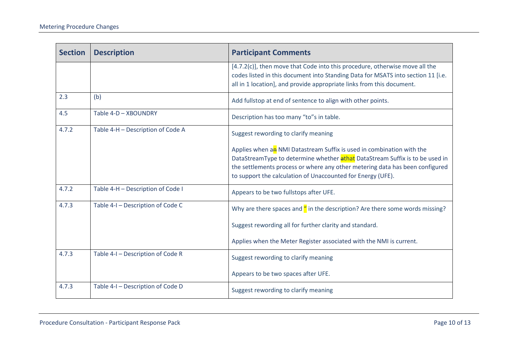| <b>Section</b> | <b>Description</b>                | <b>Participant Comments</b>                                                                                                                                                                                                                                                                          |
|----------------|-----------------------------------|------------------------------------------------------------------------------------------------------------------------------------------------------------------------------------------------------------------------------------------------------------------------------------------------------|
|                |                                   | [4.7.2(c)], then move that Code into this procedure, otherwise move all the<br>codes listed in this document into Standing Data for MSATS into section 11 [i.e.<br>all in 1 location], and provide appropriate links from this document.                                                             |
| 2.3            | (b)                               | Add fullstop at end of sentence to align with other points.                                                                                                                                                                                                                                          |
| 4.5            | Table 4-D - XBOUNDRY              | Description has too many "to"s in table.                                                                                                                                                                                                                                                             |
| 4.7.2          | Table 4-H - Description of Code A | Suggest rewording to clarify meaning                                                                                                                                                                                                                                                                 |
|                |                                   | Applies when an NMI Datastream Suffix is used in combination with the<br>DataStreamType to determine whether athat DataStream Suffix is to be used in<br>the settlements process or where any other metering data has been configured<br>to support the calculation of Unaccounted for Energy (UFE). |
| 4.7.2          | Table 4-H - Description of Code I | Appears to be two fullstops after UFE.                                                                                                                                                                                                                                                               |
| 4.7.3          | Table 4-I - Description of Code C | Why are there spaces and $\frac{d}{b}$ in the description? Are there some words missing?<br>Suggest rewording all for further clarity and standard.<br>Applies when the Meter Register associated with the NMI is current.                                                                           |
| 4.7.3          | Table 4-I - Description of Code R | Suggest rewording to clarify meaning                                                                                                                                                                                                                                                                 |
|                |                                   | Appears to be two spaces after UFE.                                                                                                                                                                                                                                                                  |
| 4.7.3          | Table 4-I - Description of Code D | Suggest rewording to clarify meaning                                                                                                                                                                                                                                                                 |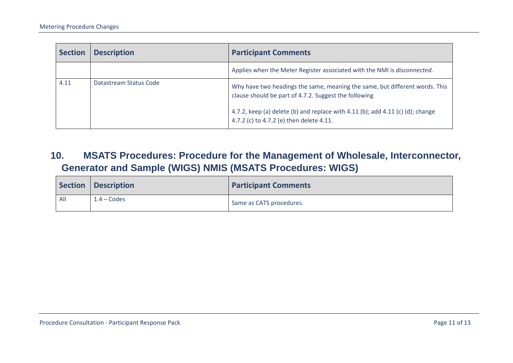| <b>Section</b> | <b>Description</b>     | <b>Participant Comments</b>                                                                                                                                                                                                                                        |
|----------------|------------------------|--------------------------------------------------------------------------------------------------------------------------------------------------------------------------------------------------------------------------------------------------------------------|
|                |                        | Applies when the Meter Register associated with the NMI is disconnected.                                                                                                                                                                                           |
| 4.11           | Datastream Status Code | Why have two headings the same, meaning the same, but different words. This<br>clause should be part of 4.7.2. Suggest the following<br>4.7.2, keep (a) delete (b) and replace with 4.11 (b); add 4.11 (c) (d); change<br>4.7.2 (c) to 4.7.2 (e) then delete 4.11. |

**10. MSATS Procedures: Procedure for the Management of Wholesale, Interconnector, Generator and Sample (WIGS) NMIS (MSATS Procedures: WIGS)**

<span id="page-10-0"></span>

|     | Section   Description | <b>Participant Comments</b> |
|-----|-----------------------|-----------------------------|
| All | $1.4$ – Codes         | Same as CATS procedures.    |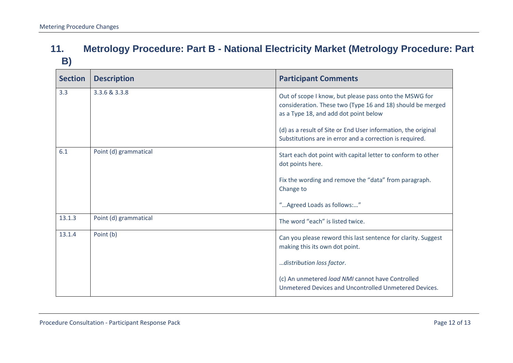### **11. Metrology Procedure: Part B - National Electricity Market (Metrology Procedure: Part B)**

<span id="page-11-0"></span>

| <b>Section</b> | <b>Description</b>    | <b>Participant Comments</b>                                                                                                                                   |
|----------------|-----------------------|---------------------------------------------------------------------------------------------------------------------------------------------------------------|
| 3.3            | 3.3.6 & 3.3.8         | Out of scope I know, but please pass onto the MSWG for<br>consideration. These two (Type 16 and 18) should be merged<br>as a Type 18, and add dot point below |
|                |                       | (d) as a result of Site or End User information, the original<br>Substitutions are in error and a correction is required.                                     |
| 6.1            | Point (d) grammatical | Start each dot point with capital letter to conform to other<br>dot points here.                                                                              |
|                |                       | Fix the wording and remove the "data" from paragraph.<br>Change to                                                                                            |
|                |                       | " Agreed Loads as follows:"                                                                                                                                   |
| 13.1.3         | Point (d) grammatical | The word "each" is listed twice.                                                                                                                              |
| 13.1.4         | Point (b)             | Can you please reword this last sentence for clarity. Suggest<br>making this its own dot point.                                                               |
|                |                       | distribution loss factor.                                                                                                                                     |
|                |                       | (c) An unmetered load NMI cannot have Controlled<br>Unmetered Devices and Uncontrolled Unmetered Devices.                                                     |